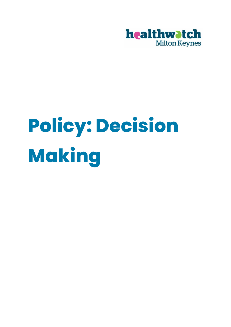

# **Policy: Decision Making**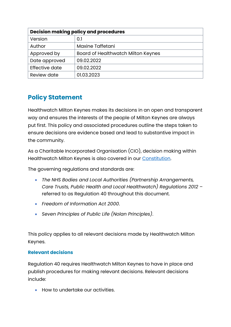| <b>Decision making policy and procedures</b> |                                    |
|----------------------------------------------|------------------------------------|
| Version                                      | 0.1                                |
| Author                                       | <b>Maxine Taffetani</b>            |
| Approved by                                  | Board of Healthwatch Milton Keynes |
| Date approved                                | 09.02.2022                         |
| Effective date                               | 09.02.2022                         |
| <b>Review date</b>                           | 01.03.2023                         |

## **Policy Statement**

Healthwatch Milton Keynes makes its decisions in an open and transparent way and ensures the interests of the people of Milton Keynes are always put first. This policy and associated procedures outline the steps taken to ensure decisions are evidence based and lead to substantive impact in the community.

As a Charitable Incorporated Organisation (CIO), decision making within Healthwatch Milton Keynes is also covered in our [Constitution.](file:///C:/Users/MaxineTaffetani/Healthwatch%20Milton%20Keynes%20CIO/Healthwatch%20Milton%20Keynes%20CIO%20Team%20Site%20-%20Documents/Chief%20Executive%20Officer/Governance%20and%20Compliance/Constitution/CIO-AssociationModelConstitutionhmk%204%20final.pdf)

The governing regulations and standards are:

- *The NHS Bodies and Local Authorities (Partnership Arrangements, Care Trusts, Public Health and Local Healthwatch) Regulations 2012* – referred to as Regulation 40 throughout this document.
- *Freedom of Information Act 2000*.
- *Seven Principles of Public Life (Nolan Principles)*.

This policy applies to all relevant decisions made by Healthwatch Milton Keynes.

#### **Relevant decisions**

Regulation 40 requires Healthwatch Milton Keynes to have in place and publish procedures for making relevant decisions. Relevant decisions include:

• How to undertake our activities.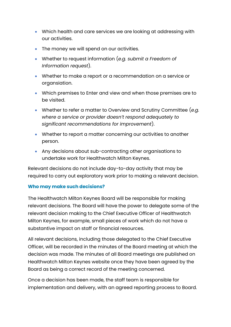- Which health and care services we are looking at addressing with our activities.
- The money we will spend on our activities.
- Whether to request information (*e.g. submit a Freedom of Information request*).
- Whether to make a report or a recommendation on a service or organsiation.
- Which premises to Enter and view and when those premises are to be visited.
- Whether to refer a matter to Overview and Scrutiny Committee (*e.g. where a service or provider doesn't respond adequately to significant recommendations for improvement*).
- Whether to report a matter concerning our activities to another person.
- Any decisions about sub-contracting other organisations to undertake work for Healthwatch Milton Keynes.

Relevant decisions do not include day-to-day activity that may be required to carry out exploratory work prior to making a relevant decision.

#### **Who may make such decisions?**

The Healthwatch Milton Keynes Board will be responsible for making relevant decisions. The Board will have the power to delegate some of the relevant decision making to the Chief Executive Officer of Healthwatch Milton Keynes, for example, small pieces of work which do not have a substantive impact on staff or financial resources.

All relevant decisions, including those delegated to the Chief Executive Officer, will be recorded in the minutes of the Board meeting at which the decision was made. The minutes of all Board meetings are published on Healthwatch Milton Keynes website once they have been agreed by the Board as being a correct record of the meeting concerned.

Once a decision has been made, the staff team is responsible for implementation and delivery, with an agreed reporting process to Board.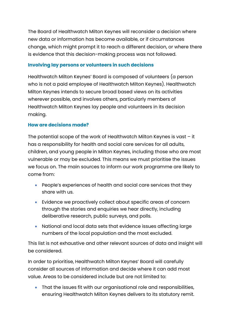The Board of Healthwatch Milton Keynes will reconsider a decision where new data or information has become available, or if circumstances change, which might prompt it to reach a different decision, or where there is evidence that this decision-making process was not followed.

#### **Involving lay persons or volunteers in such decisions**

Healthwatch Milton Keynes' Board is composed of volunteers (a person who is not a paid employee of Healthwatch Milton Keynes). Healthwatch Milton Keynes intends to secure broad based views on its activities wherever possible, and involves others, particularly members of Healthwatch Milton Keynes lay people and volunteers in its decision making.

#### **How are decisions made?**

The potential scope of the work of Healthwatch Milton Keynes is vast – it has a responsibility for health and social care services for all adults, children, and young people in Milton Keynes, including those who are most vulnerable or may be excluded. This means we must prioritise the issues we focus on. The main sources to inform our work programme are likely to come from:

- People's experiences of health and social care services that they share with us.
- Evidence we proactively collect about specific areas of concern through the stories and enquiries we hear directly, including deliberative research, public surveys, and polls.
- National and local data sets that evidence issues affecting large numbers of the local population and the most excluded.

This list is not exhaustive and other relevant sources of data and insight will be considered.

In order to prioritise, Healthwatch Milton Keynes' Board will carefully consider all sources of information and decide where it can add most value. Areas to be considered include but are not limited to:

• That the issues fit with our organisational role and responsibilities, ensuring Healthwatch Milton Keynes delivers to its statutory remit.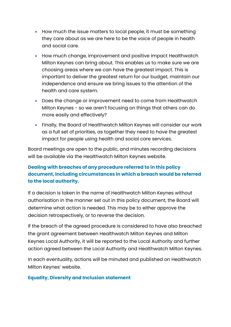- How much the issue matters to local people, it must be something they care about as we are here to be the voice of people in health and social care.
- How much change, improvement and positive impact Healthwatch Milton Keynes can bring about. This enables us to make sure we are choosing areas where we can have the greatest impact. This is important to deliver the greatest return for our budget, maintain our independence and ensure we bring issues to the attention of the health and care system.
- Does the change or improvement need to come from Healthwatch Milton Keynes - so we aren't focusing on things that others can do more easily and effectively?
- Finally, the Board of Healthwatch Milton Keynes will consider our work as a full set of priorities, as together they need to have the greatest impact for people using health and social care services.

Board meetings are open to the public, and minutes recording decisions will be available via the Healthwatch Milton Keynes website.

#### **Dealing with breaches of any procedure referred to in this policy document, including circumstances in which a breach would be referred to the local authority.**

If a decision is taken in the name of Healthwatch Milton Keynes without authorisation in the manner set out in this policy document, the Board will determine what action is needed. This may be to either approve the decision retrospectively, or to reverse the decision.

If the breach of the agreed procedure is considered to have also breached the grant agreement between Healthwatch Milton Keynes and Milton Keynes Local Authority, it will be reported to the Local Authority and further action agreed between the Local Authority and Healthwatch Milton Keynes.

In each eventuality, actions will be minuted and published on Healthwatch Milton Keynes' website.

#### **Equality, Diversity and Inclusion statement**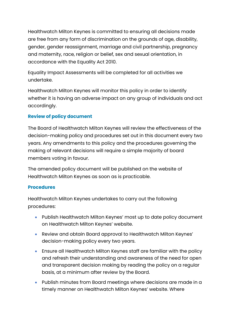Healthwatch Milton Keynes is committed to ensuring all decisions made are free from any form of discrimination on the grounds of age, disability, gender, gender reassignment, marriage and civil partnership, pregnancy and maternity, race, religion or belief, sex and sexual orientation, in accordance with the Equality Act 2010.

Equality Impact Assessments will be completed for all activities we undertake.

Healthwatch Milton Keynes will monitor this policy in order to identify whether it is having an adverse impact on any group of individuals and act accordingly.

#### **Review of policy document**

The Board of Healthwatch Milton Keynes will review the effectiveness of the decision-making policy and procedures set out in this document every two years. Any amendments to this policy and the procedures governing the making of relevant decisions will require a simple majority of board members voting in favour.

The amended policy document will be published on the website of Healthwatch Milton Keynes as soon as is practicable.

#### **Procedures**

Healthwatch Milton Keynes undertakes to carry out the following procedures:

- Publish Healthwatch Milton Keynes' most up to date policy document on Healthwatch Milton Keynes' website.
- Review and obtain Board approval to Healthwatch Milton Keynes' decision-making policy every two years.
- Ensure all Healthwatch Milton Keynes staff are familiar with the policy and refresh their understanding and awareness of the need for open and transparent decision making by reading the policy on a regular basis, at a minimum after review by the Board.
- Publish minutes from Board meetings where decisions are made in a timely manner on Healthwatch Milton Keynes' website. Where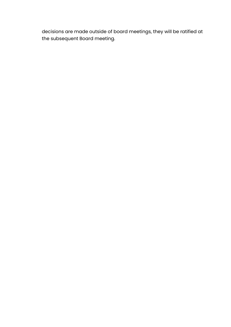decisions are made outside of board meetings, they will be ratified at the subsequent Board meeting.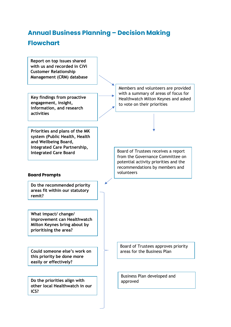# **Annual Business Planning – Decision Making Flowchart**

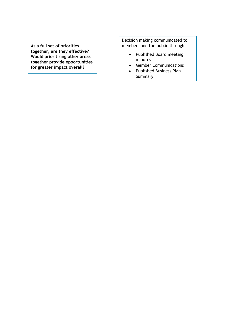**As a full set of priorities together, are they effective? Would prioritising other areas together provide opportunities for greater impact overall?**

Decision making communicated to members and the public through:

- Published Board meeting minutes
- Member Communications
- Published Business Plan Summary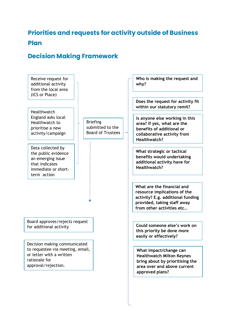## **Priorities and requests for activity outside of Business Plan**

## **Decision Making Framework**